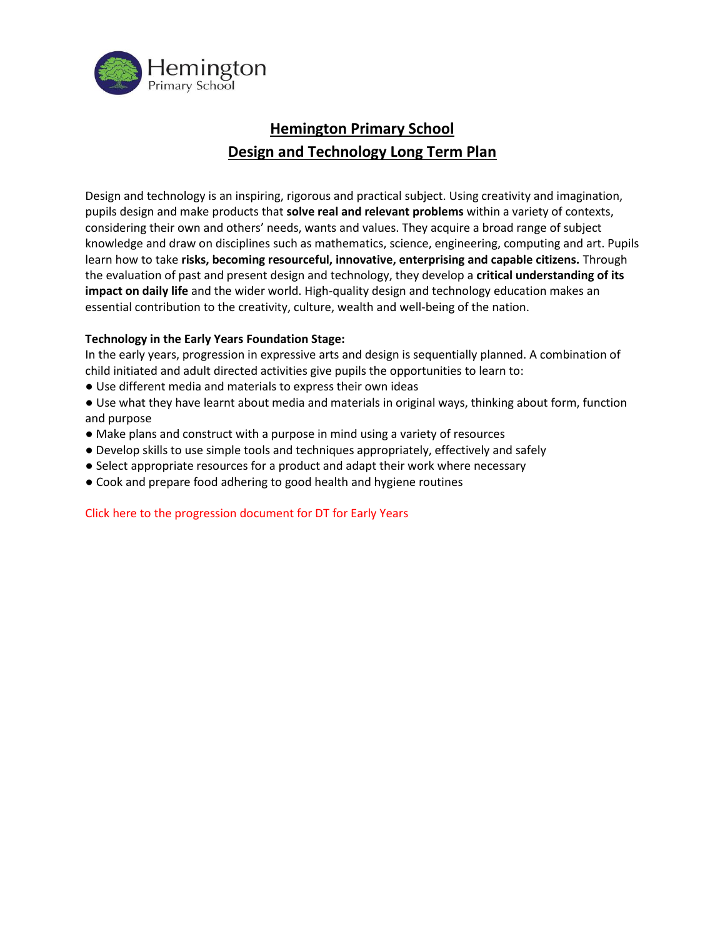

### **Hemington Primary School Design and Technology Long Term Plan**

Design and technology is an inspiring, rigorous and practical subject. Using creativity and imagination, pupils design and make products that **solve real and relevant problems** within a variety of contexts, considering their own and others' needs, wants and values. They acquire a broad range of subject knowledge and draw on disciplines such as mathematics, science, engineering, computing and art. Pupils learn how to take **risks, becoming resourceful, innovative, enterprising and capable citizens.** Through the evaluation of past and present design and technology, they develop a **critical understanding of its impact on daily life** and the wider world. High-quality design and technology education makes an essential contribution to the creativity, culture, wealth and well-being of the nation.

### **Technology in the Early Years Foundation Stage:**

In the early years, progression in expressive arts and design is sequentially planned. A combination of child initiated and adult directed activities give pupils the opportunities to learn to:

- Use different media and materials to express their own ideas
- Use what they have learnt about media and materials in original ways, thinking about form, function and purpose
- Make plans and construct with a purpose in mind using a variety of resources
- Develop skills to use simple tools and techniques appropriately, effectively and safely
- Select appropriate resources for a product and adapt their work where necessary
- Cook and prepare food adhering to good health and hygiene routines

Click here to the progression document for DT for Early Years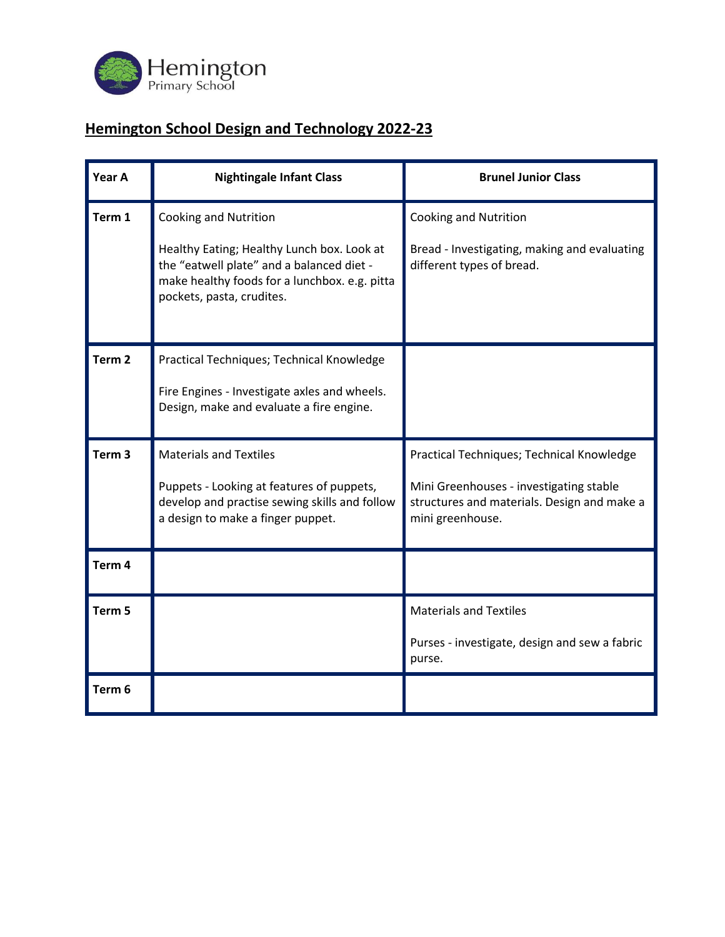

# **Hemington School Design and Technology 2022-23**

| Year A            | <b>Nightingale Infant Class</b>                                                                                                 | <b>Brunel Junior Class</b>                                                                                 |
|-------------------|---------------------------------------------------------------------------------------------------------------------------------|------------------------------------------------------------------------------------------------------------|
| Term 1            | <b>Cooking and Nutrition</b><br>Healthy Eating; Healthy Lunch box. Look at<br>the "eatwell plate" and a balanced diet -         | <b>Cooking and Nutrition</b><br>Bread - Investigating, making and evaluating<br>different types of bread.  |
|                   | make healthy foods for a lunchbox. e.g. pitta<br>pockets, pasta, crudites.                                                      |                                                                                                            |
| Term <sub>2</sub> | Practical Techniques; Technical Knowledge                                                                                       |                                                                                                            |
|                   | Fire Engines - Investigate axles and wheels.<br>Design, make and evaluate a fire engine.                                        |                                                                                                            |
| Term <sub>3</sub> | <b>Materials and Textiles</b>                                                                                                   | Practical Techniques; Technical Knowledge                                                                  |
|                   | Puppets - Looking at features of puppets,<br>develop and practise sewing skills and follow<br>a design to make a finger puppet. | Mini Greenhouses - investigating stable<br>structures and materials. Design and make a<br>mini greenhouse. |
| Term 4            |                                                                                                                                 |                                                                                                            |
| Term <sub>5</sub> |                                                                                                                                 | <b>Materials and Textiles</b>                                                                              |
|                   |                                                                                                                                 | Purses - investigate, design and sew a fabric<br>purse.                                                    |
| Term <sub>6</sub> |                                                                                                                                 |                                                                                                            |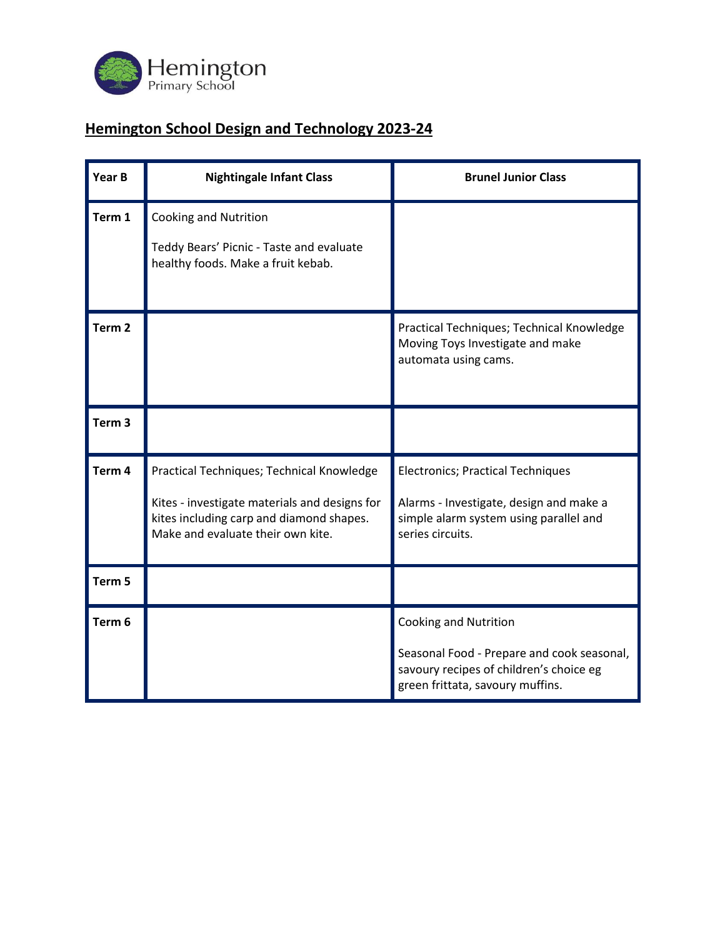

# **Hemington School Design and Technology 2023-24**

| Year B            | <b>Nightingale Infant Class</b>                                                                                                                                             | <b>Brunel Junior Class</b>                                                                                                                        |
|-------------------|-----------------------------------------------------------------------------------------------------------------------------------------------------------------------------|---------------------------------------------------------------------------------------------------------------------------------------------------|
| Term 1            | <b>Cooking and Nutrition</b><br>Teddy Bears' Picnic - Taste and evaluate<br>healthy foods. Make a fruit kebab.                                                              |                                                                                                                                                   |
|                   |                                                                                                                                                                             |                                                                                                                                                   |
| Term <sub>2</sub> |                                                                                                                                                                             | Practical Techniques; Technical Knowledge<br>Moving Toys Investigate and make<br>automata using cams.                                             |
| Term <sub>3</sub> |                                                                                                                                                                             |                                                                                                                                                   |
| Term <sub>4</sub> | Practical Techniques; Technical Knowledge<br>Kites - investigate materials and designs for<br>kites including carp and diamond shapes.<br>Make and evaluate their own kite. | <b>Electronics; Practical Techniques</b><br>Alarms - Investigate, design and make a<br>simple alarm system using parallel and<br>series circuits. |
| Term 5            |                                                                                                                                                                             |                                                                                                                                                   |
| Term <sub>6</sub> |                                                                                                                                                                             | <b>Cooking and Nutrition</b>                                                                                                                      |
|                   |                                                                                                                                                                             | Seasonal Food - Prepare and cook seasonal,<br>savoury recipes of children's choice eg<br>green frittata, savoury muffins.                         |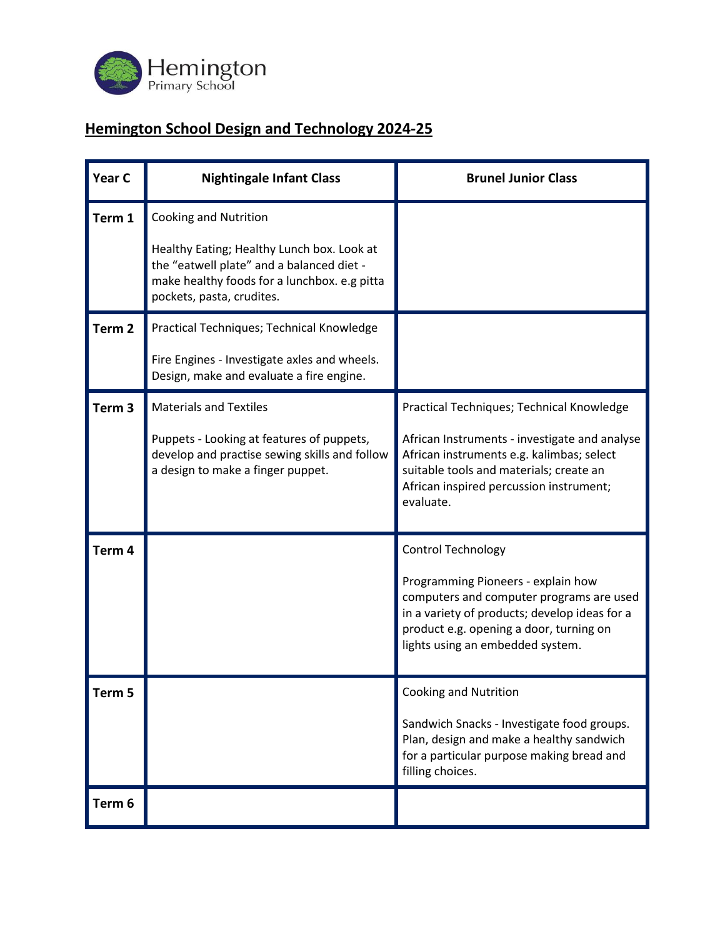

# **Hemington School Design and Technology 2024-25**

| Year C            | <b>Nightingale Infant Class</b>                                                                                                                                                                      | <b>Brunel Junior Class</b>                                                                                                                                                                                                                 |
|-------------------|------------------------------------------------------------------------------------------------------------------------------------------------------------------------------------------------------|--------------------------------------------------------------------------------------------------------------------------------------------------------------------------------------------------------------------------------------------|
| Term 1            | <b>Cooking and Nutrition</b><br>Healthy Eating; Healthy Lunch box. Look at<br>the "eatwell plate" and a balanced diet -<br>make healthy foods for a lunchbox. e.g pitta<br>pockets, pasta, crudites. |                                                                                                                                                                                                                                            |
| Term <sub>2</sub> | Practical Techniques; Technical Knowledge<br>Fire Engines - Investigate axles and wheels.<br>Design, make and evaluate a fire engine.                                                                |                                                                                                                                                                                                                                            |
| Term <sub>3</sub> | <b>Materials and Textiles</b><br>Puppets - Looking at features of puppets,<br>develop and practise sewing skills and follow<br>a design to make a finger puppet.                                     | Practical Techniques; Technical Knowledge<br>African Instruments - investigate and analyse<br>African instruments e.g. kalimbas; select<br>suitable tools and materials; create an<br>African inspired percussion instrument;<br>evaluate. |
| Term <sub>4</sub> |                                                                                                                                                                                                      | Control Technology<br>Programming Pioneers - explain how<br>computers and computer programs are used<br>in a variety of products; develop ideas for a<br>product e.g. opening a door, turning on<br>lights using an embedded system.       |
| Term 5            |                                                                                                                                                                                                      | Cooking and Nutrition<br>Sandwich Snacks - Investigate food groups.<br>Plan, design and make a healthy sandwich<br>for a particular purpose making bread and<br>filling choices.                                                           |
| Term 6            |                                                                                                                                                                                                      |                                                                                                                                                                                                                                            |